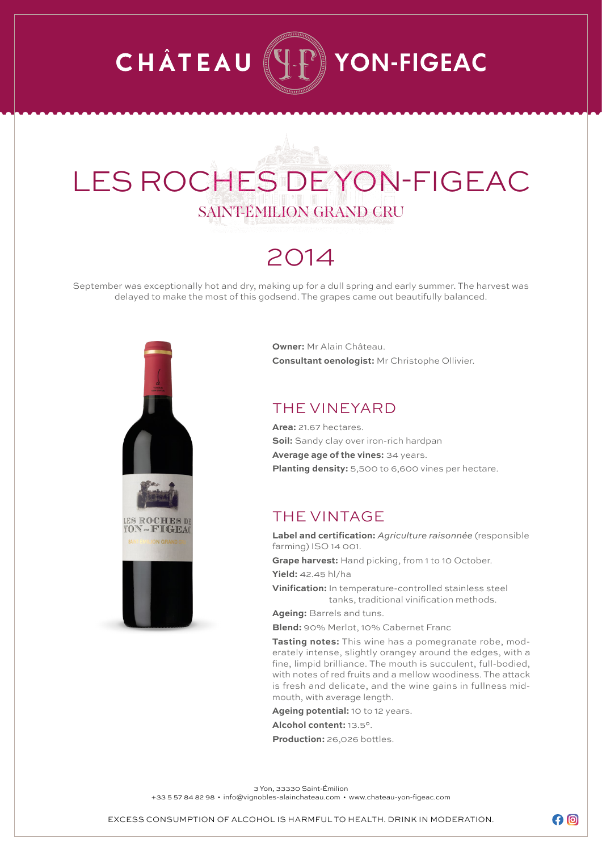## **CHÂTEAU**  $\mathbb{P}\r\}$  YON-FIGEAC

## LES ROCHES DE YON-FIGEAC SAINT-ÉMILION GRAND CRU

### 2014

September was exceptionally hot and dry, making up for a dull spring and early summer. The harvest was delayed to make the most of this godsend. The grapes came out beautifully balanced.



**Owner:** Mr Alain Château. **Consultant oenologist:** Mr Christophe Ollivier.

#### THE VINEYARD

**Area:** 21.67 hectares. **Soil:** Sandy clay over iron-rich hardpan **Average age of the vines:** 34 years. **Planting density:** 5,500 to 6,600 vines per hectare.

### THE VINTAGE

**Label and certification:** *Agriculture raisonnée* (responsible farming) ISO 14 001.

**Grape harvest:** Hand picking, from 1 to 10 October.

**Yield:** 42.45 hl/ha

**Vinification:** In temperature-controlled stainless steel tanks, traditional vinification methods.

**Ageing:** Barrels and tuns.

**Blend:** 90% Merlot, 10% Cabernet Franc

**Tasting notes:** This wine has a pomegranate robe, moderately intense, slightly orangey around the edges, with a fine, limpid brilliance. The mouth is succulent, full-bodied, with notes of red fruits and a mellow woodiness. The attack is fresh and delicate, and the wine gains in fullness midmouth, with average length.

**Ageing potential:** 10 to 12 years.

**Alcohol content:** 13.5°.

**Production:** 26,026 bottles.

3 Yon, 33330 Saint-Émilion

+33 5 57 84 82 98 • info@vignobles-alainchateau.com • www.chateau-yon-figeac.com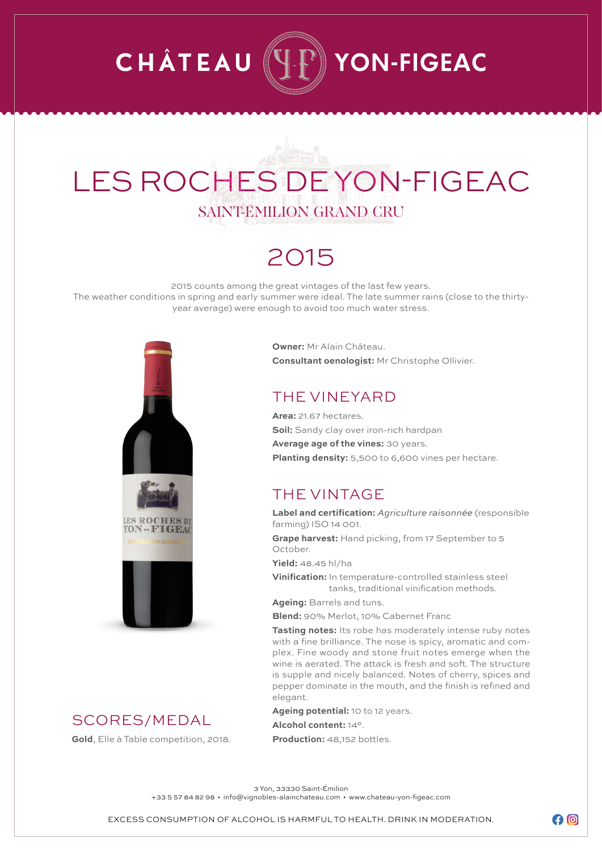## **CHÂTEAU** YON-FIGEAC

## LES ROCHES DE YON-FIGEAC SAINT-ÉMILION GRAND CRU

## 2015

2015 counts among the great vintages of the last few years. The weather conditions in spring and early summer were ideal. The late summer rains (close to the thirtyyear average) were enough to avoid too much water stress.



### SCORES/MEDAL

**Gold**, Elle à Table competition, 2018.

**Owner:** Mr Alain Château. **Consultant oenologist:** Mr Christophe Ollivier.

### THE VINEYARD

**Area:** 21.67 hectares. **Soil:** Sandy clay over iron-rich hardpan **Average age of the vines:** 30 years. **Planting density:** 5,500 to 6,600 vines per hectare.

### THE VINTAGE

**Label and certification:** *Agriculture raisonnée* (responsible farming) ISO 14 001.

**Grape harvest:** Hand picking, from 17 September to 5 October.

**Yield:** 48.45 hl/ha

**Vinification:** In temperature-controlled stainless steel tanks, traditional vinification methods.

**Ageing:** Barrels and tuns.

**Blend:** 90% Merlot, 10% Cabernet Franc

**Tasting notes:** Its robe has moderately intense ruby notes with a fine brilliance. The nose is spicy, aromatic and complex. Fine woody and stone fruit notes emerge when the wine is aerated. The attack is fresh and soft. The structure is supple and nicely balanced. Notes of cherry, spices and pepper dominate in the mouth, and the finish is refined and elegant.

**Ageing potential:** 10 to 12 years.

**Alcohol content:** 14°.

**Production:** 48,152 bottles.

3 Yon, 33330 Saint-Émilion

+33 5 57 84 82 98 • info@vignobles-alainchateau.com • www.chateau-yon-figeac.com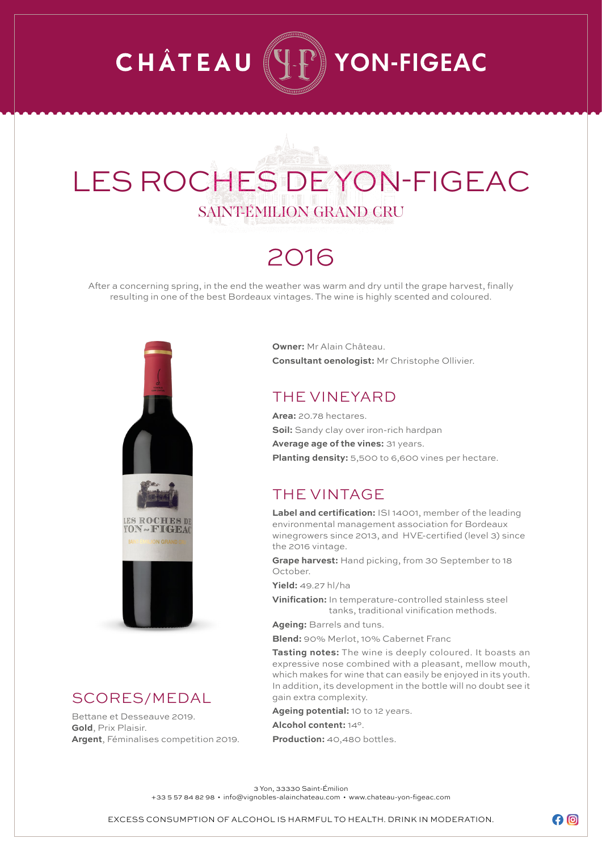## **CHÂTEAU**  $\mathbb{P}\mathbb{I}$  YON-FIGEAC

## LES ROCHES DE YON-FIGEAC SAINT-ÉMILION GRAND CRU

## 2016

After a concerning spring, in the end the weather was warm and dry until the grape harvest, finally resulting in one of the best Bordeaux vintages. The wine is highly scented and coloured.



#### SCORES/MEDAL

Bettane et Desseauve 2019. **Gold**, Prix Plaisir. **Argent**, Féminalises competition 2019. **Owner:** Mr Alain Château. **Consultant oenologist:** Mr Christophe Ollivier.

### THE VINEYARD

**Area:** 20.78 hectares. **Soil:** Sandy clay over iron-rich hardpan **Average age of the vines:** 31 years. **Planting density:** 5,500 to 6,600 vines per hectare.

### THE VINTAGE

**Label and certification:** ISI 14001, member of the leading environmental management association for Bordeaux winegrowers since 2013, and HVE-certified (level 3) since the 2016 vintage.

**Grape harvest:** Hand picking, from 30 September to 18 October.

**Yield:** 49.27 hl/ha

**Vinification:** In temperature-controlled stainless steel tanks, traditional vinification methods.

**Ageing:** Barrels and tuns.

**Blend:** 90% Merlot, 10% Cabernet Franc

**Tasting notes:** The wine is deeply coloured. It boasts an expressive nose combined with a pleasant, mellow mouth, which makes for wine that can easily be enjoyed in its youth. In addition, its development in the bottle will no doubt see it gain extra complexity.

**Ageing potential:** 10 to 12 years.

**Alcohol content:** 14°.

**Production:** 40,480 bottles.

3 Yon, 33330 Saint-Émilion

+33 5 57 84 82 98 • info@vignobles-alainchateau.com • www.chateau-yon-figeac.com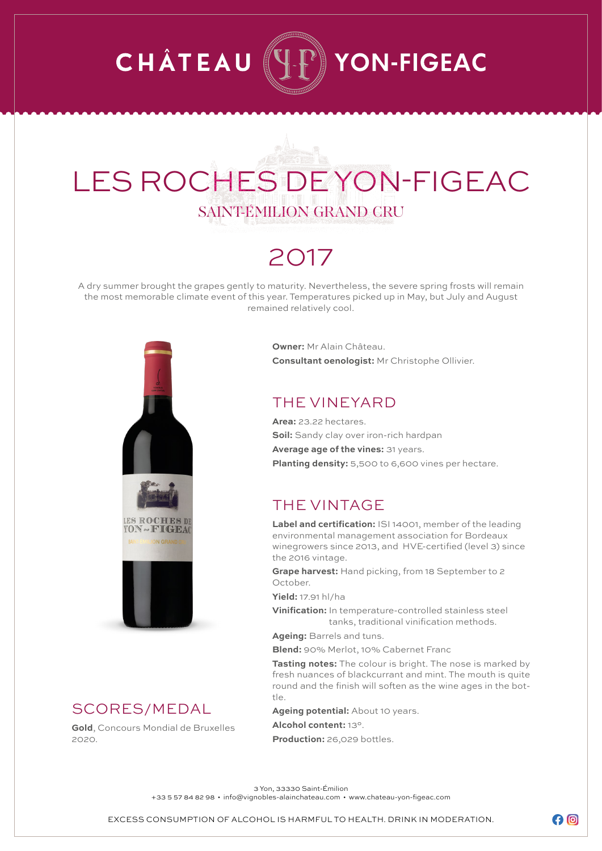## **CHÂTEAU**  $\mathbb{P}\r\}$  YON-FIGEAC

## LES ROCHES DE YON-FIGEAC SAINT-ÉMILION GRAND CRU

### 2017

A dry summer brought the grapes gently to maturity. Nevertheless, the severe spring frosts will remain the most memorable climate event of this year. Temperatures picked up in May, but July and August remained relatively cool.



### SCORES/MEDAL

**Gold**, Concours Mondial de Bruxelles 2020.

**Owner:** Mr Alain Château. **Consultant oenologist:** Mr Christophe Ollivier.

#### THE VINEYARD

**Area:** 23.22 hectares. **Soil:** Sandy clay over iron-rich hardpan **Average age of the vines:** 31 years. **Planting density:** 5,500 to 6,600 vines per hectare.

### THE VINTAGE

**Label and certification:** ISI 14001, member of the leading environmental management association for Bordeaux winegrowers since 2013, and HVE-certified (level 3) since the 2016 vintage.

**Grape harvest:** Hand picking, from 18 September to 2 October.

**Yield:** 17.91 hl/ha

**Vinification:** In temperature-controlled stainless steel tanks, traditional vinification methods.

**Ageing:** Barrels and tuns.

**Blend:** 90% Merlot, 10% Cabernet Franc

**Tasting notes:** The colour is bright. The nose is marked by fresh nuances of blackcurrant and mint. The mouth is quite round and the finish will soften as the wine ages in the bottle.

**Ageing potential:** About 10 years.

**Alcohol content:** 13°.

**Production:** 26,029 bottles.

3 Yon, 33330 Saint-Émilion

+33 5 57 84 82 98 • info@vignobles-alainchateau.com • www.chateau-yon-figeac.com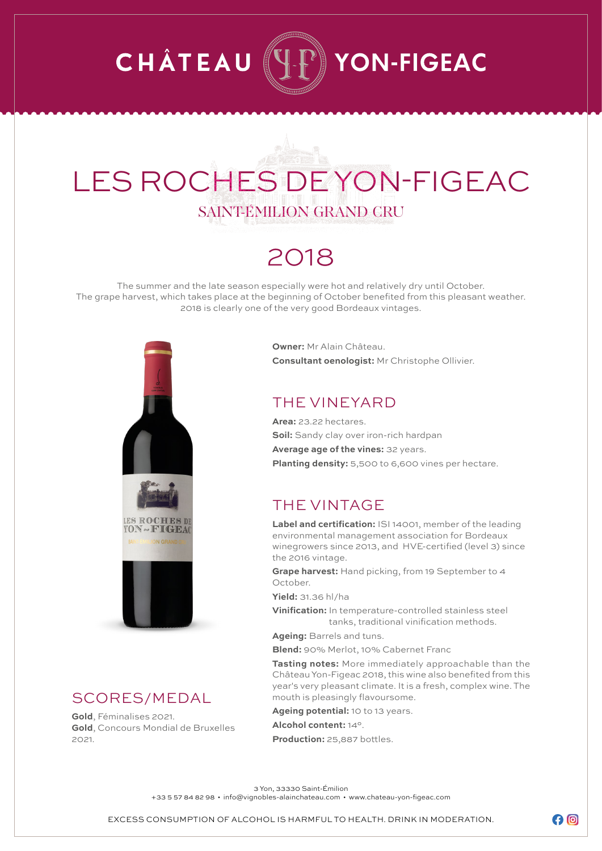## **CHÂTEAU** YON-FIGEAC

## LES ROCHES DE YON-FIGEAC SAINT-ÉMILION GRAND CRU

### 2018

The summer and the late season especially were hot and relatively dry until October. The grape harvest, which takes place at the beginning of October benefited from this pleasant weather. 2018 is clearly one of the very good Bordeaux vintages.



#### SCORES/MEDAL

**Gold**, Féminalises 2021. **Gold**, Concours Mondial de Bruxelles  $2021$ 

**Owner:** Mr Alain Château. **Consultant oenologist:** Mr Christophe Ollivier.

### THE VINEYARD

**Area:** 23.22 hectares. **Soil:** Sandy clay over iron-rich hardpan **Average age of the vines:** 32 years. **Planting density:** 5,500 to 6,600 vines per hectare.

### THE VINTAGE

**Label and certification:** ISI 14001, member of the leading environmental management association for Bordeaux winegrowers since 2013, and HVE-certified (level 3) since the 2016 vintage.

**Grape harvest:** Hand picking, from 19 September to 4 October.

**Yield:** 31.36 hl/ha

**Vinification:** In temperature-controlled stainless steel tanks, traditional vinification methods.

**Ageing:** Barrels and tuns.

**Blend:** 90% Merlot, 10% Cabernet Franc

**Tasting notes:** More immediately approachable than the Château Yon-Figeac 2018, this wine also benefited from this year's very pleasant climate. It is a fresh, complex wine. The mouth is pleasingly flavoursome.

**Ageing potential:** 10 to 13 years.

**Alcohol content:** 14°. **Production:** 25,887 bottles.

3 Yon, 33330 Saint-Émilion

+33 5 57 84 82 98 • info@vignobles-alainchateau.com • www.chateau-yon-figeac.com